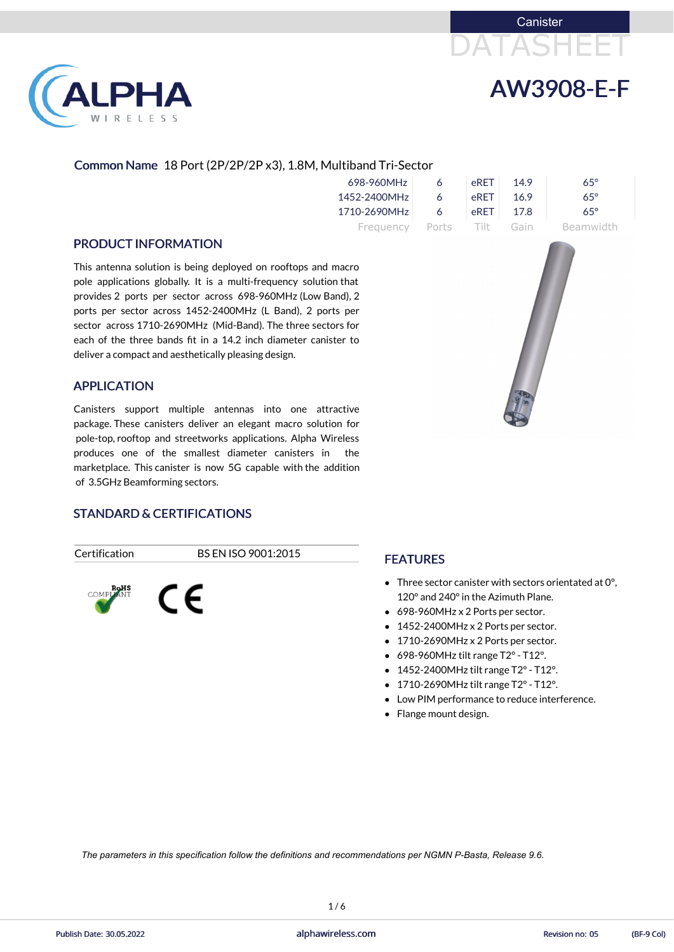



# LPHA RELESS

#### Common Name 18 Port (2P/2P/2P x3), 1.8M, Multiband Tri-Sector

| 698-960MHz   | 6     | eRET     | 149  | $65^\circ$ |
|--------------|-------|----------|------|------------|
| 1452-2400MHz | 6     | eRFT     | 169  | $65^\circ$ |
| 1710-2690MHz | 6     | eRET     | 17.8 | $65^\circ$ |
| Frequency    | Ports | - Tilt - | Gain | Beamwidth  |

#### PRODUCT INFORMATION

This antenna solution is being deployed on rooftops and macro pole applications globally. It is a multi-frequency solution that provides 2 ports per sector across 698-960MHz (Low Band), 2 ports per sector across 1452-2400MHz (L Band), 2 ports per sector across 1710-2690MHz (Mid-Band). The three sectors for each of the three bands fit in a 14.2 inch diameter canister to deliver a compact and aesthetically pleasing design.

#### APPLICATION

- Three sector canister with sectors orientated at 0°, 120° and 240°in the Azimuth Plane.
- 698-960MHz x 2 Ports per sector.
- 1452-2400MHz x 2 Ports per sector.
- 1710-2690MHz x 2 Ports per sector.
- $\bullet$  698-960MHz tilt range T2° T12°.
- 1452-2400MHz tilt range T2°- T12°.
- $\bullet$  1710-2690MHz tilt range T2° T12°.
- Low PIM performance to reduce interference.
- Flange mount design.

Canisters support multiple antennas into one attractive package. These canisters deliver an elegant macro solution for pole-top, rooftop and streetworks applications. Alpha Wireless produces one of the smallest diameter canisters in the marketplace. This canister is now 5G capable with the addition of 3.5GHz Beamforming sectors.



#### STANDARD & CERTIFICATIONS

Certification BS EN ISO 9001:2015



#### FEATURES

*The parameters in this specification follow the definitions and recommendations per NGMN P-Basta, Release 9.6.*

 $1/6$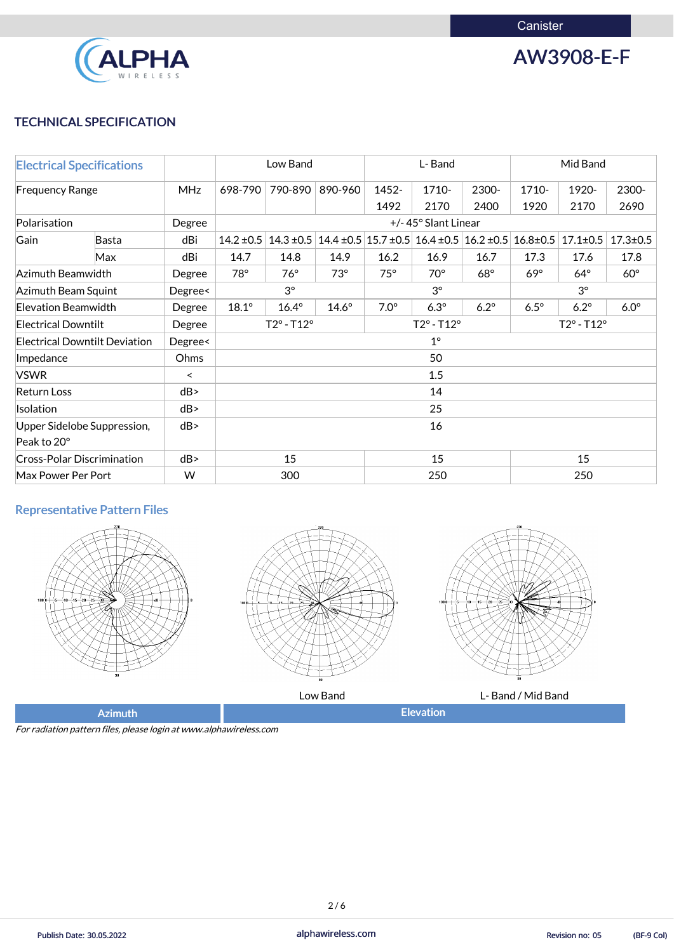

## AW3908-E-F

#### TECHNICAL SPECIFICATION

| <b>Electrical Specifications</b>                |                                      |                          | Low Band                   |              | L-Band       |                            |                                                                                           | Mid Band    |                            |                |                |
|-------------------------------------------------|--------------------------------------|--------------------------|----------------------------|--------------|--------------|----------------------------|-------------------------------------------------------------------------------------------|-------------|----------------------------|----------------|----------------|
| <b>Frequency Range</b>                          |                                      | <b>MHz</b>               | 698-790                    | 790-890      | 890-960      | 1452-                      | 1710-                                                                                     | 2300-       | 1710-                      | 1920-          | 2300-          |
|                                                 |                                      |                          |                            |              |              | 1492                       | 2170                                                                                      | 2400        | 1920                       | 2170           | 2690           |
| Polarisation                                    |                                      | Degree                   | +/-45° Slant Linear        |              |              |                            |                                                                                           |             |                            |                |                |
| Gain                                            | Basta                                | dBi                      | 14.2 ± 0.5                 |              |              |                            | $14.3 \pm 0.5$ 14.4 $\pm 0.5$ 15.7 $\pm 0.5$ 16.4 $\pm 0.5$ 16.2 $\pm 0.5$ 16.8 $\pm 0.5$ |             |                            | $17.1 \pm 0.5$ | $17.3 \pm 0.5$ |
|                                                 | Max                                  | dBi                      | 14.7                       | 14.8         | 14.9         | 16.2                       | 16.9                                                                                      | 16.7        | 17.3                       | 17.6           | 17.8           |
| Azimuth Beamwidth                               |                                      | Degree                   | $78^\circ$                 | $76^{\circ}$ | $73^\circ$   | $75^\circ$                 | $70^\circ$                                                                                | $68^\circ$  | $69^\circ$                 | $64^\circ$     | $60^\circ$     |
| Azimuth Beam Squint                             |                                      | Degree<                  | $3^{\circ}$                |              |              | $3^{\circ}$                |                                                                                           |             | $3^\circ$                  |                |                |
|                                                 | <b>Elevation Beamwidth</b><br>Degree |                          |                            | $16.4^\circ$ | $14.6^\circ$ | $7.0^\circ$                | $6.3^\circ$                                                                               | $6.2^\circ$ | $6.5^\circ$                | $6.2^\circ$    | $6.0^\circ$    |
| <b>Electrical Downtilt</b>                      |                                      | Degree                   | $T2^{\circ} - T12^{\circ}$ |              |              | $T2^{\circ} - T12^{\circ}$ |                                                                                           |             | $T2^{\circ} - T12^{\circ}$ |                |                |
| <b>Electrical Downtilt Deviation</b><br>Degree< |                                      |                          | $1^{\circ}$                |              |              |                            |                                                                                           |             |                            |                |                |
| Impedance                                       |                                      | Ohms                     | 50                         |              |              |                            |                                                                                           |             |                            |                |                |
| <b>VSWR</b>                                     |                                      | $\overline{\phantom{0}}$ | 1.5                        |              |              |                            |                                                                                           |             |                            |                |                |
| <b>Return Loss</b>                              |                                      | dB                       | 14                         |              |              |                            |                                                                                           |             |                            |                |                |
| Isolation                                       |                                      | dB                       | 25                         |              |              |                            |                                                                                           |             |                            |                |                |
| Upper Sidelobe Suppression,                     |                                      | dB                       | 16                         |              |              |                            |                                                                                           |             |                            |                |                |
| Peak to 20°                                     |                                      |                          |                            |              |              |                            |                                                                                           |             |                            |                |                |
| <b>Cross-Polar Discrimination</b>               |                                      | dB                       | 15<br>15                   |              |              |                            | 15                                                                                        |             |                            |                |                |
| Max Power Per Port                              |                                      | W                        | 300                        |              |              | 250                        |                                                                                           | 250         |                            |                |                |
|                                                 |                                      |                          |                            |              |              |                            |                                                                                           |             |                            |                |                |

Publish Date: 30.05.2022 **alphawireless.com** alphawireless.com **alphawireless.com** Revision no: 05 (BF-9 Col) Revision no: 05

### Representative Pattern Files







Low Band **Let a Let a L-Band / Mid Band** 

Azimuth **Elevation** 

For radiation pattern files, please login at www.alphawireless.com

 $2/6$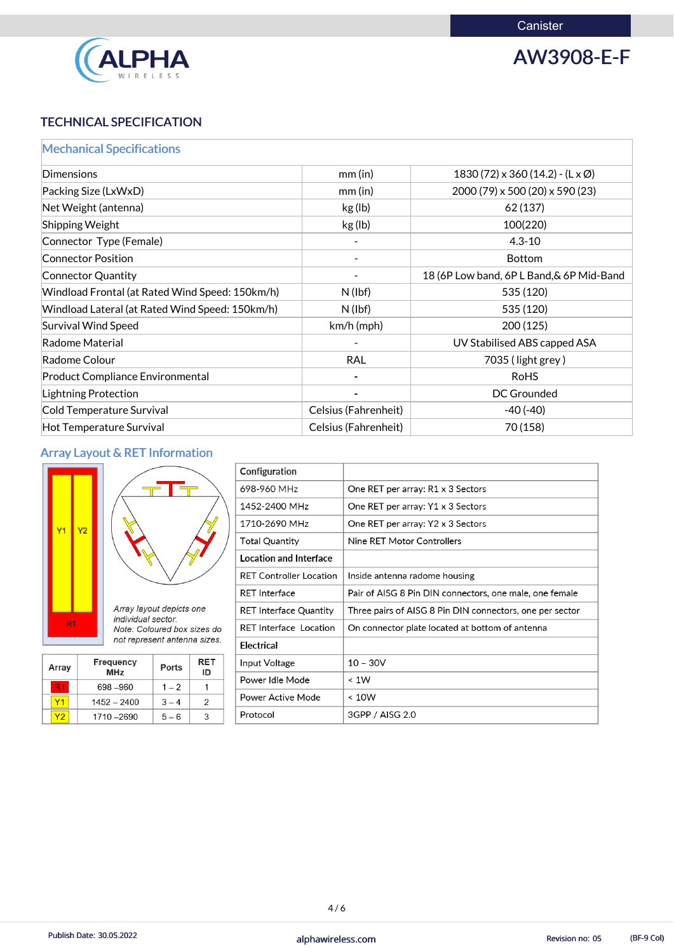

AW3908-E-F

#### TECHNICAL SPECIFICATION

### Mechanical Specifications

| <b>Dimensions</b>                               | mm(in)               | $1830(72) \times 360(14.2) - (\mathsf{L} \times \emptyset)$ |
|-------------------------------------------------|----------------------|-------------------------------------------------------------|
| Packing Size (LxWxD)                            | mm(in)               | 2000 (79) x 500 (20) x 590 (23)                             |
| Net Weight (antenna)                            | kg (lb)              | 62 (137)                                                    |
| Shipping Weight                                 | kg (lb)              | 100(220)                                                    |
| Connector Type (Female)                         |                      | $4.3 - 10$                                                  |
| <b>Connector Position</b>                       |                      | <b>Bottom</b>                                               |
| Connector Quantity                              |                      | 18 (6P Low band, 6P L Band, & 6P Mid-Band                   |
| Windload Frontal (at Rated Wind Speed: 150km/h) | $N$ (lbf)            | 535 (120)                                                   |
| Windload Lateral (at Rated Wind Speed: 150km/h) | $N$ (lbf)            | 535 (120)                                                   |
| Survival Wind Speed                             | $km/h$ (mph)         | 200(125)                                                    |
| Radome Material                                 |                      | UV Stabilised ABS capped ASA                                |
| Radome Colour                                   | <b>RAL</b>           | 7035 (light grey)                                           |
| <b>Product Compliance Environmental</b>         |                      | <b>RoHS</b>                                                 |
| Lightning Protection                            |                      | <b>DC Grounded</b>                                          |
| Cold Temperature Survival                       | Celsius (Fahrenheit) | $-40(-40)$                                                  |
| Hot Temperature Survival                        | Celsius (Fahrenheit) | 70 (158)                                                    |

#### Array Layout & RET Information



|                              |                   |           |                                                |                            |                               | Configuration                     |                                                          |  |
|------------------------------|-------------------|-----------|------------------------------------------------|----------------------------|-------------------------------|-----------------------------------|----------------------------------------------------------|--|
|                              |                   |           |                                                |                            |                               | 698-960 MHz                       | One RET per array: R1 x 3 Sectors                        |  |
|                              |                   | <b>Y2</b> |                                                |                            |                               | 1452-2400 MHz                     | One RET per array: Y1 x 3 Sectors                        |  |
|                              | Y1                |           |                                                |                            | 1710-2690 MHz                 | One RET per array: Y2 x 3 Sectors |                                                          |  |
|                              |                   |           |                                                |                            | Total Quantity                | Nine RET Motor Controllers        |                                                          |  |
|                              |                   |           |                                                |                            | <b>Location and Interface</b> |                                   |                                                          |  |
|                              |                   |           |                                                |                            |                               | <b>RET Controller Location</b>    | Inside antenna radome housing                            |  |
|                              |                   |           |                                                |                            |                               | <b>RET Interface</b>              | Pair of AISG 8 Pin DIN connectors, one male, one female  |  |
|                              |                   |           | Array layout depicts one<br>individual sector. |                            |                               | <b>RET Interface Quantity</b>     | Three pairs of AISG 8 Pin DIN connectors, one per sector |  |
|                              | R <sub>1</sub>    |           | Note: Coloured box sizes do                    |                            |                               | <b>RET Interface Location</b>     | On connector plate located at bottom of antenna          |  |
| not represent antenna sizes. |                   |           |                                                | Electrical                 |                               |                                   |                                                          |  |
| Array                        |                   |           | <b>Frequency</b>                               | <b>RET</b><br><b>Ports</b> |                               | Input Voltage                     | $10 - 30V$                                               |  |
|                              |                   |           | <b>MHz</b>                                     |                            | ID                            | Power Idle Mode                   | < 1W                                                     |  |
|                              | R1                | 698 - 960 |                                                | $1 - 2$                    |                               | Power Active Mode                 | < 10W                                                    |  |
|                              | Y1                |           | $1452 - 2400$                                  | 2<br>$3 - 4$               |                               |                                   |                                                          |  |
|                              | Y2<br>1710 - 2690 |           | $5 - 6$                                        | 3                          | Protocol                      | 3GPP / AISG 2.0                   |                                                          |  |

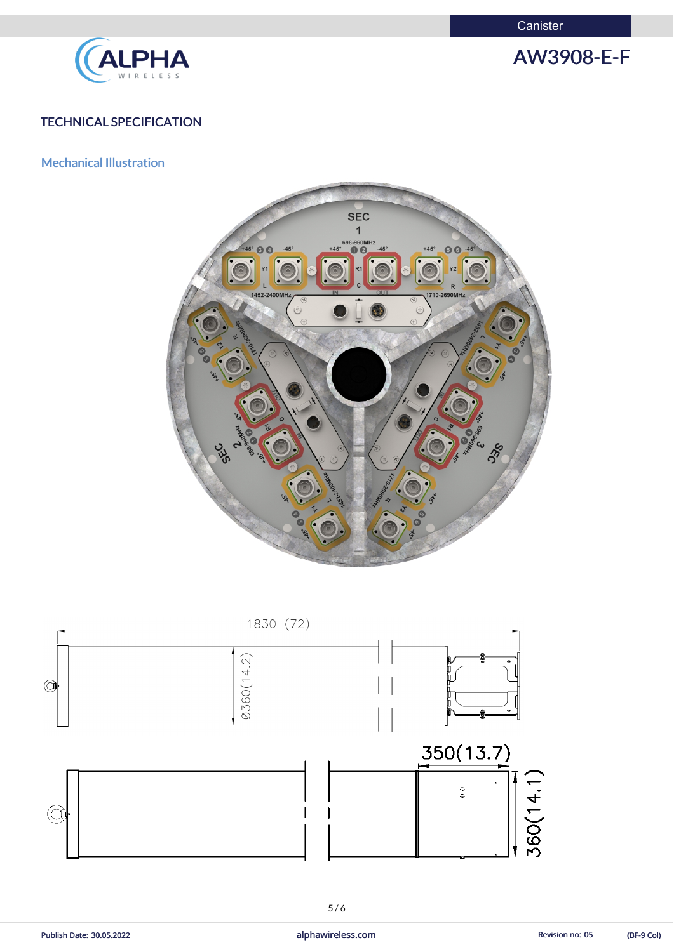**Canister** 



AW3908-E-F

#### TECHNICAL SPECIFICATION

Mechanical Illustration